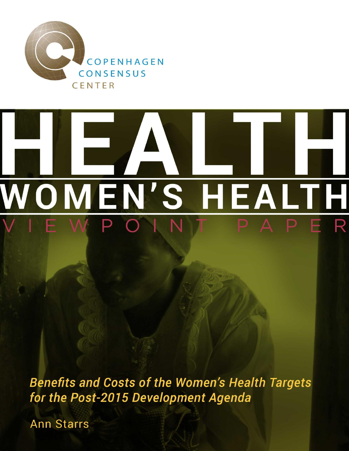

## **NOMEN'S** EALTH R D.

**Benefits and Costs of the Women's Health Targets** for the Post-2015 Development Agenda

**Ann Starrs**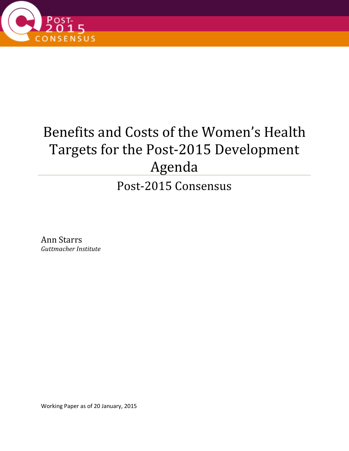

## Benefits and Costs of the Women's Health Targets for the Post-2015 Development Agenda

Post-2015 Consensus

Ann Starrs *Guttmacher Institute*

Working Paper as of 20 January, 2015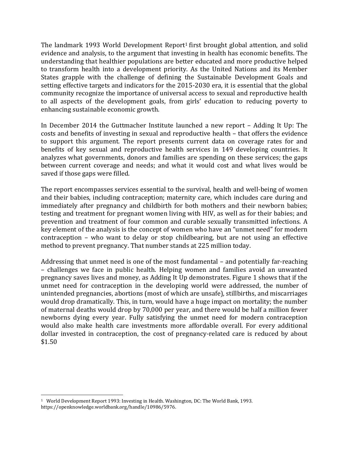The landmark 1993 World Development Report<sup>1</sup> first brought global attention, and solid evidence and analysis, to the argument that investing in health has economic benefits. The understanding that healthier populations are better educated and more productive helped to transform health into a development priority. As the United Nations and its Member States grapple with the challenge of defining the Sustainable Development Goals and setting effective targets and indicators for the 2015-2030 era, it is essential that the global community recognize the importance of universal access to sexual and reproductive health to all aspects of the development goals, from girls' education to reducing poverty to enhancing sustainable economic growth.

In December 2014 the Guttmacher Institute launched a new report – Adding It Up: The costs and benefits of investing in sexual and reproductive health – that offers the evidence to support this argument. The report presents current data on coverage rates for and benefits of key sexual and reproductive health services in 149 developing countries. It analyzes what governments, donors and families are spending on these services; the gaps between current coverage and needs; and what it would cost and what lives would be saved if those gaps were filled.

The report encompasses services essential to the survival, health and well-being of women and their babies, including contraception; maternity care, which includes care during and immediately after pregnancy and childbirth for both mothers and their newborn babies; testing and treatment for pregnant women living with HIV, as well as for their babies; and prevention and treatment of four common and curable sexually transmitted infections. A key element of the analysis is the concept of women who have an "unmet need" for modern contraception – who want to delay or stop childbearing, but are not using an effective method to prevent pregnancy. That number stands at 225 million today.

Addressing that unmet need is one of the most fundamental – and potentially far-reaching – challenges we face in public health. Helping women and families avoid an unwanted pregnancy saves lives and money, as Adding It Up demonstrates. Figure 1 shows that if the unmet need for contraception in the developing world were addressed, the number of unintended pregnancies, abortions (most of which are unsafe), stillbirths, and miscarriages would drop dramatically. This, in turn, would have a huge impact on mortality; the number of maternal deaths would drop by 70,000 per year, and there would be half a million fewer newborns dying every year. Fully satisfying the unmet need for modern contraception would also make health care investments more affordable overall. For every additional dollar invested in contraception, the cost of pregnancy-related care is reduced by about \$1.50

l <sup>1</sup> World Development Report 1993: Investing in Health. Washington, DC: The World Bank, 1993. https://openknowledge.worldbank.org/handle/10986/5976.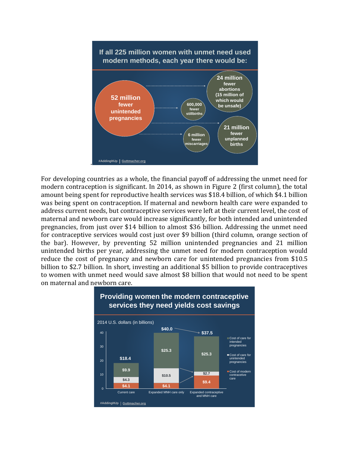

For developing countries as a whole, the financial payoff of addressing the unmet need for modern contraception is significant. In 2014, as shown in Figure 2 (first column), the total amount being spent for reproductive health services was \$18.4 billion, of which \$4.1 billion was being spent on contraception. If maternal and newborn health care were expanded to address current needs, but contraceptive services were left at their current level, the cost of maternal and newborn care would increase significantly, for both intended and unintended pregnancies, from just over \$14 billion to almost \$36 billion. Addressing the unmet need for contraceptive services would cost just over \$9 billion (third column, orange section of the bar). However, by preventing 52 million unintended pregnancies and 21 million unintended births per year, addressing the unmet need for modern contraception would reduce the cost of pregnancy and newborn care for unintended pregnancies from \$10.5 billion to \$2.7 billion. In short, investing an additional \$5 billion to provide contraceptives to women with unmet need would save almost \$8 billion that would not need to be spent on maternal and newborn care.

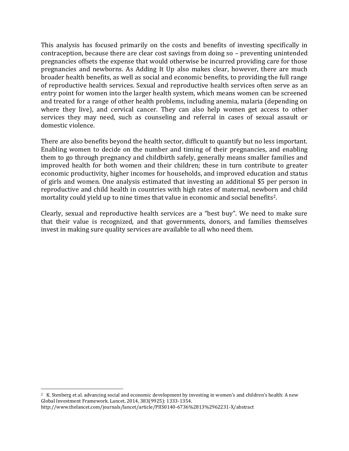This analysis has focused primarily on the costs and benefits of investing specifically in contraception, because there are clear cost savings from doing so – preventing unintended pregnancies offsets the expense that would otherwise be incurred providing care for those pregnancies and newborns. As Adding It Up also makes clear, however, there are much broader health benefits, as well as social and economic benefits, to providing the full range of reproductive health services. Sexual and reproductive health services often serve as an entry point for women into the larger health system, which means women can be screened and treated for a range of other health problems, including anemia, malaria (depending on where they live), and cervical cancer. They can also help women get access to other services they may need, such as counseling and referral in cases of sexual assault or domestic violence.

There are also benefits beyond the health sector, difficult to quantify but no less important. Enabling women to decide on the number and timing of their pregnancies, and enabling them to go through pregnancy and childbirth safely, generally means smaller families and improved health for both women and their children; these in turn contribute to greater economic productivity, higher incomes for households, and improved education and status of girls and women. One analysis estimated that investing an additional \$5 per person in reproductive and child health in countries with high rates of maternal, newborn and child mortality could yield up to nine times that value in economic and social benefits2.

Clearly, sexual and reproductive health services are a "best buy". We need to make sure that their value is recognized, and that governments, donors, and families themselves invest in making sure quality services are available to all who need them.

l

<sup>2</sup> K. Stenberg et al. advancing social and economic development by investing in women's and children's health: A new Global Investment Framework. Lancet, 2014, 383(9925): 1333-1354. http://www.thelancet.com/journals/lancet/article/PIIS0140-6736%2813%2962231-X/abstract